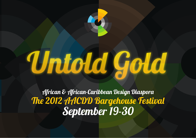

# Untold Gold

African & African-Caribbean Design Diaspora The 2012 AACDD Bargehouse Festival September 19-30